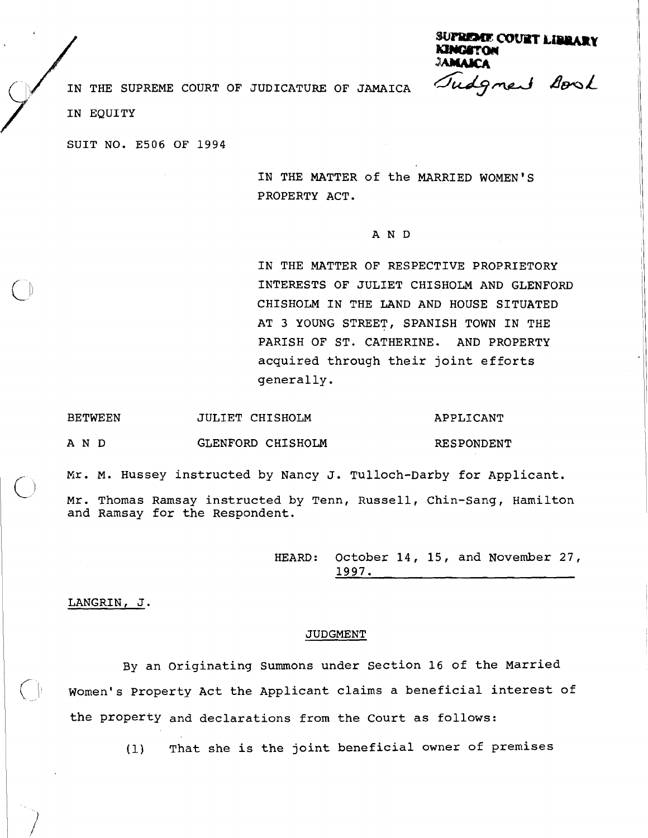**SUPRIME COURT LIBRARY** Tudgment Aonal

IN THE SUPREME COURT OF JUDICATURE OF JAMAICA IN THE SUP

 $\bigcirc$ 

SUIT NO. E506 OF 1994

IN THE MATTER of the MARRIED WOMEN'S PROPERTY ACT.

## AND

IN THE MATTER OF RESPECTIVE PROPRIETORY INTERESTS OF JULIET CHISHOLM AND GLENFORD CHISHOLM IN THE LAND AND HOUSE SITUATED AT **3** YOUNG STREET, SPANISH TOWN IN THE PARISH OF ST. CATHERINE. AND PROPERTY acquired through their joint efforts generally.

| <b>BETWEEN</b> | JULIET CHISHOLM   | APPLICANT  |
|----------------|-------------------|------------|
| A N D          | GLENFORD CHISHOLM | RESPONDENT |

Kr. M. Hussey instructed by Nancy J. Tulloch-Darby for Applicant.

Mr. Thomas Ramsay instructed by Tenn, Russell, Chin-Sang, Hamilton and Ramsay for the Respondent.

> HEARD: October 14, 15, and November 27, **1997.**

LANGRIN, J.

 $\left( \begin{array}{c} \end{array} \right)$ 

## JUDGMENT

By an originating Summons under Section 16 of the Married Women's Property Act the Applicant claims a beneficial interest of the Property and declarations from the Court as follows:

(1) That she is the joint beneficial owner of premises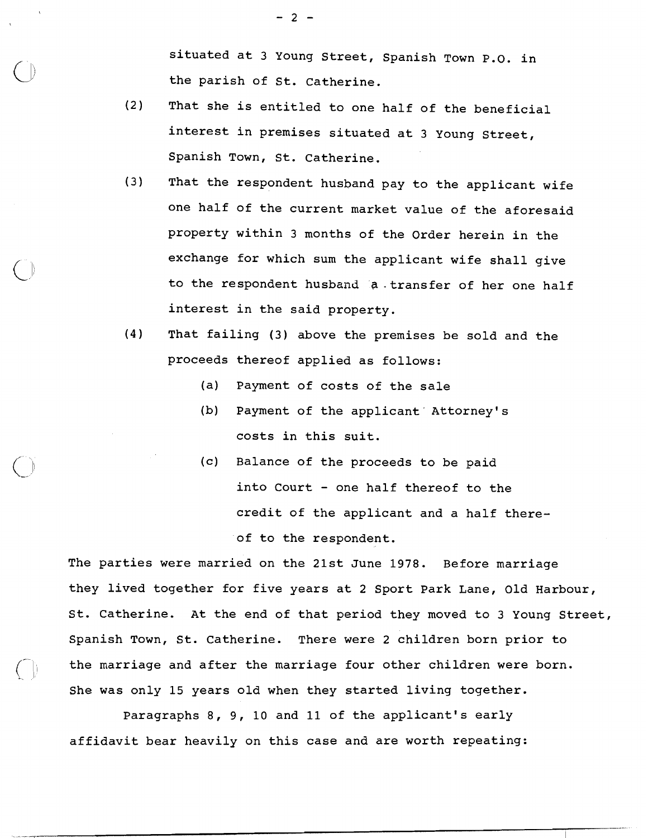situated at 3 Young Street, Spanish Town P.O. in the parish of St. Catherine.

- (2) That she is entitled to one half of the beneficial interest in premises situated at 3 Young Street, Spanish Town, St. Catherine.
- (3) That the respondent husband pay to the applicant wife one half of the current market value of the aforesaid property within 3 months of the Order herein in the exchange for which sum the applicant wife shall give to the respondent husband a.transfer of her one half interest in the said property.
- (4) That failing (3) above the premises be sold and the proceeds thereof applied as follows:
	- (a) Payment of costs of the sale
	- (b) Payment of the applicant Attorney's costs in this suit.
	- (c) Balance of the proceeds to be paid into Court - one half thereof to the credit of the applicant and a half thereof to the respondent.

The parties were married on the 21st June 1978. Before marriage they lived together for five years at 2 Sport Park Lane, Old Harbour, St. Catherine. At the end of that period they moved to 3 Young Street, Spanish Town, St. Catherine. There were 2 children born prior to the marriage and after the marriage four other children were born. She was only 15 years old when they started living together.

Paragraphs 8, 9, 10 and 11 of the applicant's early affidavit bear heavily on this case and are worth repeating:

 $\bigcap_{\mathcal{L}}$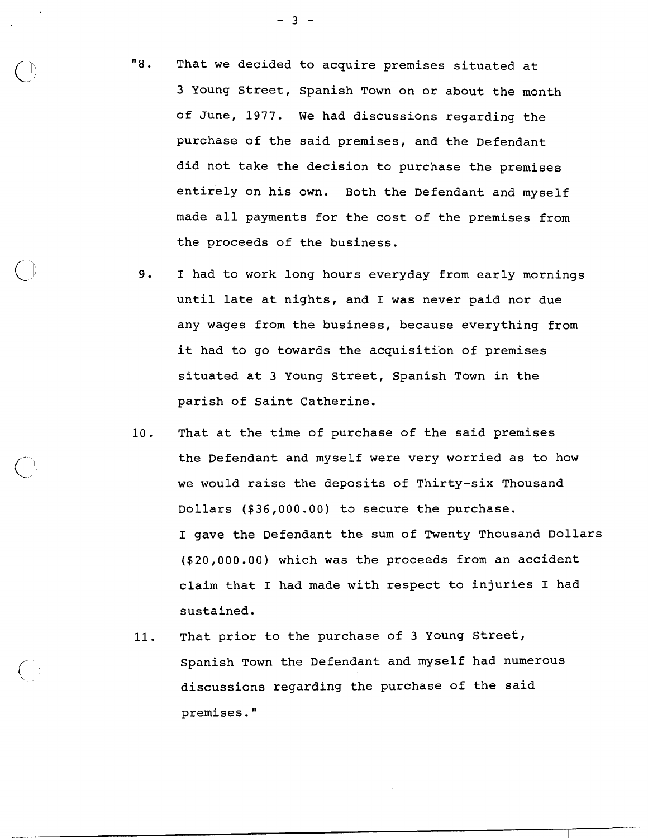"8. That we decided to acquire premises situated at 3 Young Street, Spanish Town on or about the month of June, 1977. We had discussions regarding the purchase of the said premises, and the Defendant did not take the decision to purchase the premises entirely on his own. Both the Defendant and myself made all payments for the cost of the premises from the proceeds of the business.

- 9. I had to work long hours everyday from early mornings until late at nights, and I was never paid nor due any wages from the business, because everything from it had to go towards the acquisition of premises situated at 3 Young Street, Spanish Town in the parish of Saint Catherine.
- 10. That at the time of purchase of the said premises the Defendant and myself were very worried as to how we would raise the deposits of Thirty-six Thousand Dollars (\$36,000.00) to secure the purchase. I gave the Defendant the sum of Twenty Thousand Dollars (\$20,000.00) which was the proceeds from an accident claim that I had made with respect to injuries I had sustained.
- 11. That prior to the purchase of 3 Young street, Spanish Town the Defendant and myself had numerous discussions regarding the purchase of the said premises."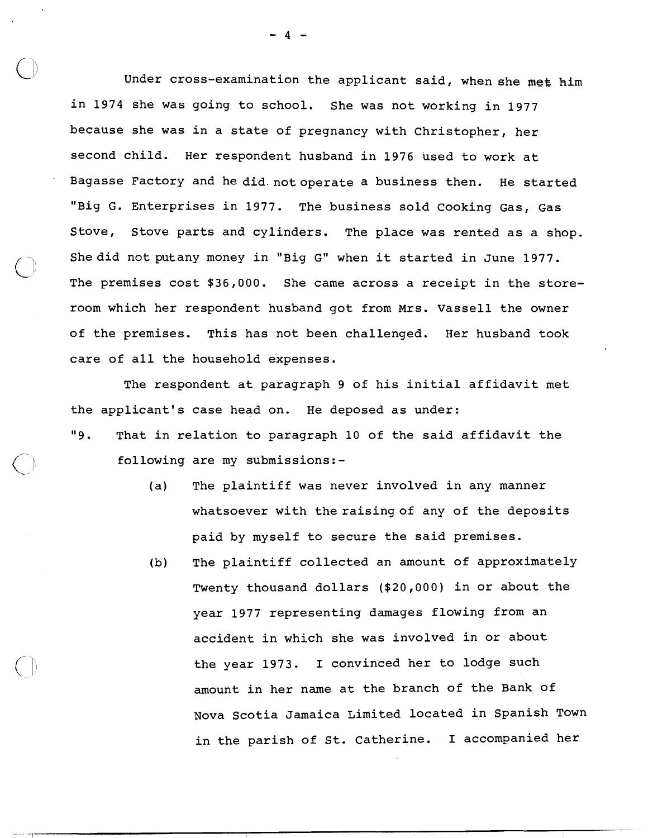Under cross-examination the applicant said, when **she met** him in 1974 she was going to school. She was not working in 1977 because she was in a state of pregnancy with Christopher, her second child. Her respondent husband in 1976 used to work at Bagasse Factory and he did.notoperate a business then. He started "Big G. Enterprises in 1977. The business sold Cooking Gas, Gas Stove, Stove parts and cylinders. The place was rented as a shop. She did not putany money in "Big G" when it started in June 1977. The premises cost \$36,000. She came across a receipt in the storeroom which her respondent husband got from Mrs. Vassell the owner of the premises. This has not been challenged. Her husband took care of all the household expenses.

The respondent at paragraph 9 of his initial affidavit met the applicant's case head on. He deposed as under: "9. That in relation to paragraph 10 of the said affidavit the following are my submissions:-

- (a) The plaintiff was never involved in any manner whatsoever with the raising of any of the deposits paid by myself to secure the said premises.
- (b) The plaintiff collected an amount of approximately Twenty thousand dollars (\$20,000) in or about the year 1977 representing damages flowing from an accident in which she was involved in or about the year 1973. I convinced her to lodge such amount in her name at the branch of the Bank of Nova Scotia Jamaica Limited located in Spanish Town in the parish of St. Catherine. I accompanied her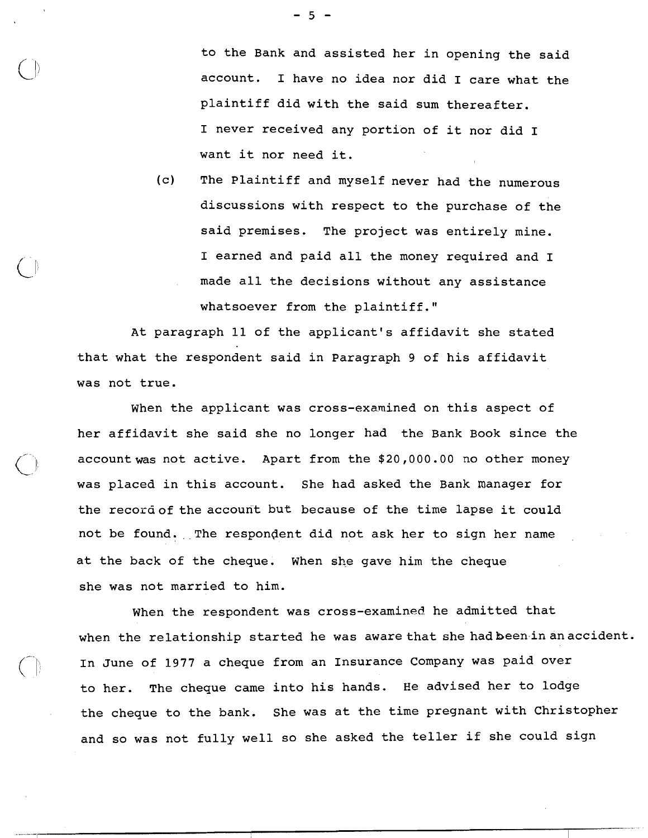$-5 -$ 

to the Bank and assisted her in opening the said account. I have no idea nor did I care what the plaintiff did with the said sum thereafter. I never received any portion of it nor did I want it nor need it.

(c) The plaintiff and myself never had the numerous discussions with respect to the purchase of the said premises. The project was entirely mine. I earned and paid all the money required and I made all the decisions without any assistance whatsoever from the plaintiff."

At paragraph 11 of the applicant's affidavit she stated that what the respondent said in Paragraph **9** of his affidavit was not true.

When the applicant was cross-examined on this aspect of her affidavit she said she no longer had the Bank Book since the accountwas not active. Apart from the \$20,000.00 no other money was placed in this account. She had asked the Bank manager for the record of the account but because of the time lapse it could not be found. The respondent did not ask her to sign her name at the back of the cheque. when she gave him the cheque she was not married to him.

When the respondent was cross-examined he admitted that when the relationship started he was aware that she had been in an accident. In June of 1977 a cheque from an Insurance Company was paid over<br>to her. The cheque came into his hands. He advised her to lodge The cheque came into his hands. He advised her to lodge the cheque to the bank. She was at the time pregnant with Christopher and so was not fully well so she asked the teller if she could sign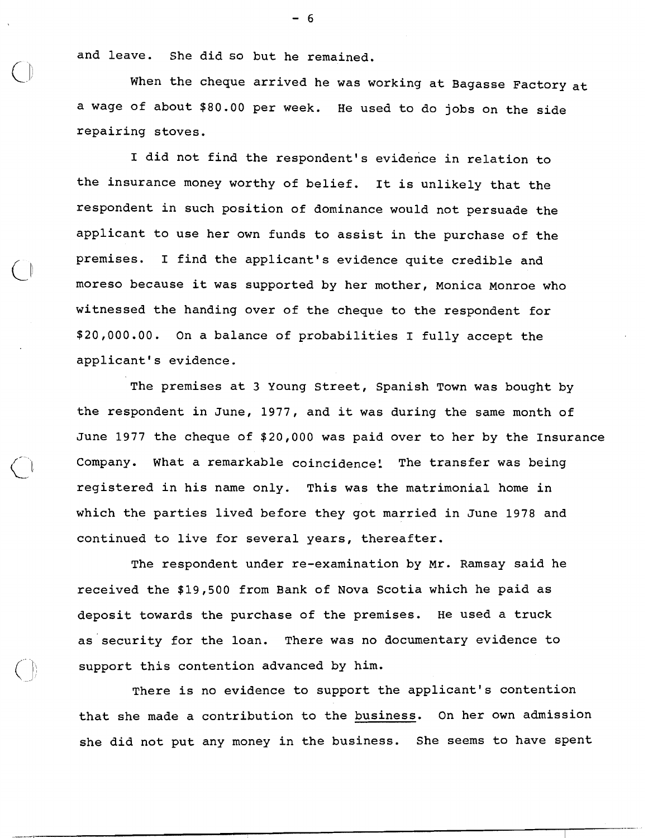and leave. She did so but he remained.

**L\*** 

When the cheque arrived he was working at Bagasse Factory at a wage of about \$80.00 per week. He used to do jobs on the side repairing stoves.

I did not find the respondent's evidence in relation to the insurance money worthy of belief. It is unlikely that the respondent in such position of dominance would not persuade the applicant to use her own funds to assist in the purchase of the  $\bigcirc$  premises. I find the applicant's evidence quite credible and<br>moreso because it was supported by her mother, Monica Monroe who witnessed the handing over of the cheque to the respondent for \$20,000.00. On a balance of probabilities I fully accept the applicant's evidence.

> The premises at 3 Young Street, Spanish Town was bought by the respondent in June, 1977, and it was during the same month of June 1977 the cheque of \$20,000 was paid over to her by the Insurance Company. What a remarkable coincidence! The transfer was being registered in his name only. This was the matrimonial home in which the parties lived before they got married in June 1978 and continued to live for several years, thereafter.

The respondent under re-examination by Mr. Ramsay said he received the \$19,500 from Bank of Nova Scotia which he paid as deposit towards the purchase of the premises. He used a truck as security for the loan. There was no documentary evidence to support this contention advanced by him.

There is no evidence to support the applicant's contention that she made a contribution to the business. On her own admission she did not put any money in the business. She seems to have spent

 $-6$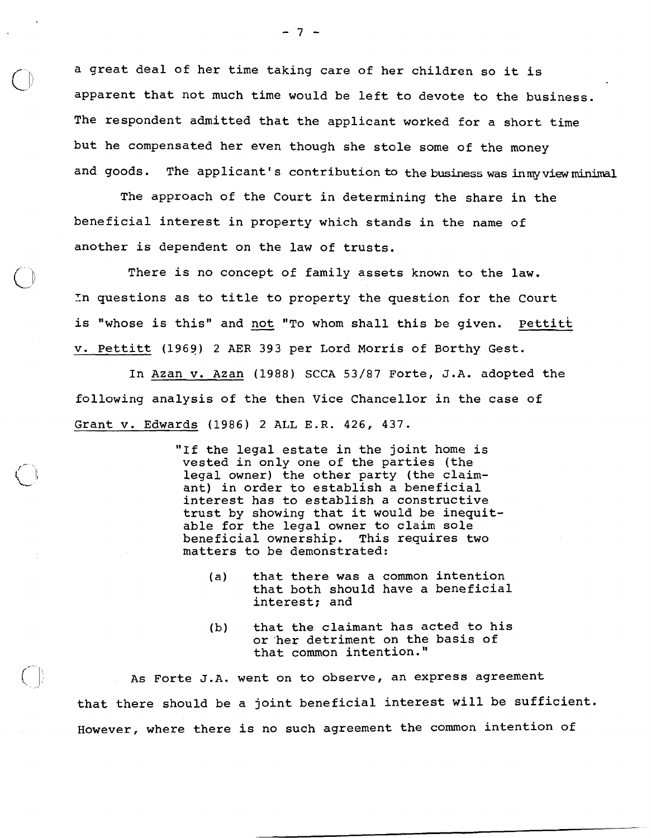a great deal of her time taking care of her children so it is apparent that not much time would be left to devote to the business. The respondent admitted that the applicant worked for a short time but he compensated her even though she stole some of the money and goods. The applicant's contribution to the business was inmy view minimal

The approach of the Court in determining the share in the beneficial interest in property which stands in the name of another is dependent on the law of trusts.

There is no concept of family assets known to the law.<br>In questions as to title to property the question for the Court<br>is "whose is this" and <u>not</u> "To whom shall this be given. <u>Pettitt</u> In questions as to title to property the question for the Court v. Pettitt (1969) 2 AER 393 per Lord Morris of Borthy Gest.

In Azan v. Azan (1988) SCCA 53/87 Forte, J.A. adopted the following analysis of the then Vice Chancellor in the case of Grant v. Edwards (1986) 2 ALL E.R. 426, 437.

> "If the legal estate in the joint home is vested in only one of the parties (the legal owner) the other party (the claimant) in order to establish a beneficial interest has to establish a constructive trust by showing that it would be inequitable for the legal owner to claim sole beneficial ownership. This requires two matters to be demonstrated:

- (a) that there was a common intention that both should have a beneficial interest; and
- (b) that the claimant has acted to his or'her detriment on the basis of that common intention."

As Forte J.A. went on to observe, an express agreement that there should be a joint beneficial interest will be sufficient. However, where there is no such agreement the common intention of

 $\begin{pmatrix} 1 & 1 \\ 1 & 1 \end{pmatrix}$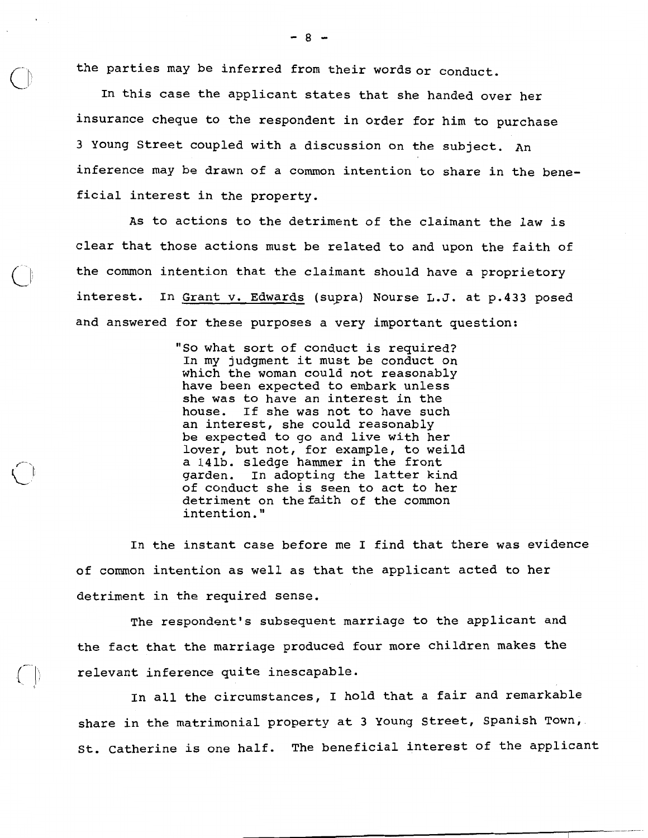the parties may be inferred from their words or conduct.

In this case the applicant states that she handed over her insurance cheque to the respondent in order for him to purchase 3 Young Street coupled with a discussion on the subject. An inference may be drawn of a common intention to share in the beneficial interest in the property.

As to actions to the detriment of the claimant the law is clear that those actions must be related to and upon the faith of the common intention that the claimant should have a proprietory interest. In Grant v. Edwards (supra) Nourse L.J. at p.433 posed and answered for these purposes a very important question:

> "So what sort of conduct is required? In my judgment it must be conduct on which the woman could not reasonably have been expected to embark unless she was to have an interest in the house. If she was not to have such an interest, she could reasonably be expected to go and live with her lover, but not, for example, to weild a 141b. sledge hammer in the front garden. In adopting the latter kind of conduct she is seen to act to her detriment on the faith of the common intention. "

In the instant case before me I find that there was evidence of common intention as well as that the applicant acted to her detriment in the required sense.

The respondent's subsequent marriage to the applicant and the fact that the marriage produced four more children makes the relevant inference quite inescapable.

In all the circumstances, I hold that a fair and remarkable share in the matrimonial property at **3** Young Street, Spanish Town, St. Catherine is one half. The beneficial interest of the applicant